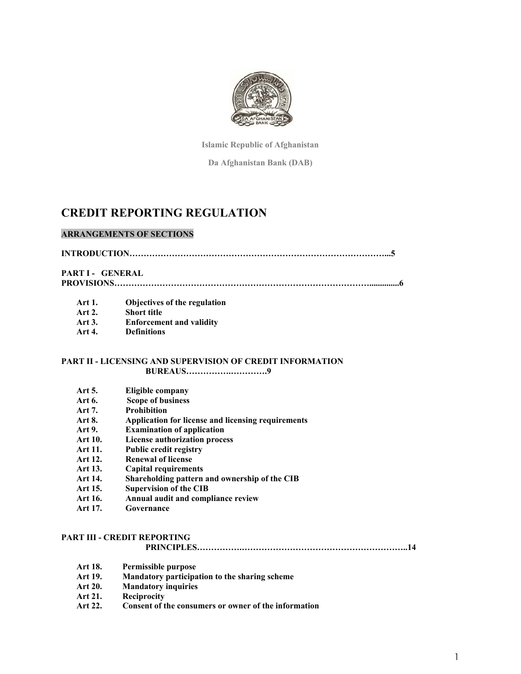

**Islamic Republic of Afghanistan** 

**Da Afghanistan Bank (DAB)** 

# **CREDIT REPORTING REGULATION**

## **ARRANGEMENTS OF SECTIONS**

**INTRODUCTION………………………………………………………………………………...5** 

**PART I - GENERAL** 

**PROVISIONS………………………………………………………………………………..............6** 

- **Art 1. Objectives of the regulation**
- **Art 2. Short title**
- **Art 3. Enforcement and validity**
- **Art 4. Definitions**

### **PART II - LICENSING AND SUPERVISION OF CREDIT INFORMATION BUREAUS…………….………….9**

- **Art 5. Eligible company**
- **Art 6. Scope of business**
- **Art 7. Prohibition**
- **Art 8. Application for license and licensing requirements**
- **Art 9. Examination of application**
- **Art 10. License authorization process**
- **Art 11. Public credit registry**
- **Art 12. Renewal of license**
- **Art 13. Capital requirements**
- **Art 14. Shareholding pattern and ownership of the CIB**
- **Art 15. Supervision of the CIB**
- **Art 16. Annual audit and compliance review**
- **Art 17. Governance**

## **PART III - CREDIT REPORTING**

**PRINCIPLES…………….…………………………………………………..14** 

- **Art 18. Permissible purpose**
- **Mandatory participation to the sharing scheme**
- **Art 20. Mandatory inquiries**
- **Art 21. Reciprocity**
- **Art 22. Consent of the consumers or owner of the information**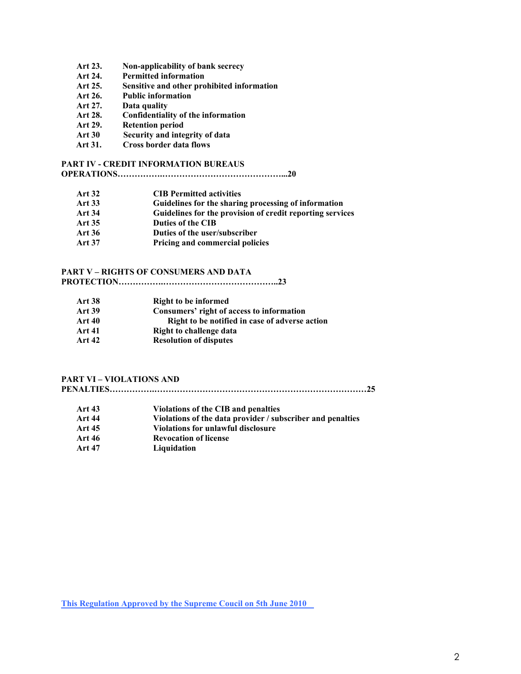- **Art 23. Non-applicability of bank secrecy**
- **Art 24. Permitted information**
- **Art 25. Sensitive and other prohibited information**
- **Art 26. Public information**
- **Art 27. Data quality**
- **Art 28. Confidentiality of the information**
- **Art 29. Retention period**
- **Art 30 Security and integrity of data**
- **Art 31. Cross border data flows**

## **PART IV - CREDIT INFORMATION BUREAUS**

## **OPERATIONS…………….……………………………………...20**

- **Art 32 CIB Permitted activities**
- **Art 33 Guidelines for the sharing processing of information**
- **Art 34 Guidelines for the provision of credit reporting services**
- **Art 35 Duties of the CIB**
- **Art 36 Duties of the user/subscriber**
- **Art 37 Pricing and commercial policies**

#### **PART V – RIGHTS OF CONSUMERS AND DATA**

|--|--|

| <b>Art 38</b> | <b>Right to be informed</b>                    |
|---------------|------------------------------------------------|
| <b>Art 39</b> | Consumers' right of access to information      |
| <b>Art 40</b> | Right to be notified in case of adverse action |
| <b>Art 41</b> | Right to challenge data                        |
| <b>Art 42</b> | <b>Resolution of disputes</b>                  |

## **PART VI – VIOLATIONS AND**

**PENALTIES…………….…………………………………………………………………25** 

- **Art 43 Violations of the CIB and penalties**
- **Art 44 Violations of the data provider / subscriber and penalties**
- **Art 45 Violations for unlawful disclosure**
- **Art 46 Revocation of license**
- **Art 47 Liquidation**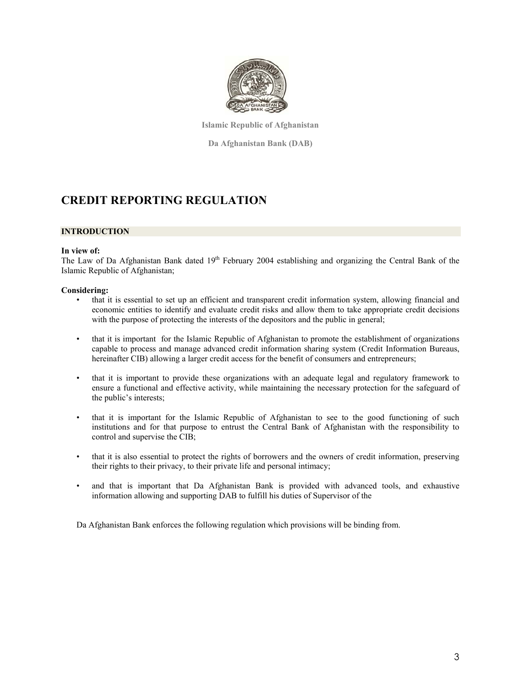

**Islamic Republic of Afghanistan** 

**Da Afghanistan Bank (DAB)** 

# **CREDIT REPORTING REGULATION**

## **INTRODUCTION**

#### **In view of:**

The Law of Da Afghanistan Bank dated 19<sup>th</sup> February 2004 establishing and organizing the Central Bank of the Islamic Republic of Afghanistan;

#### **Considering:**

- that it is essential to set up an efficient and transparent credit information system, allowing financial and economic entities to identify and evaluate credit risks and allow them to take appropriate credit decisions with the purpose of protecting the interests of the depositors and the public in general;
- that it is important for the Islamic Republic of Afghanistan to promote the establishment of organizations capable to process and manage advanced credit information sharing system (Credit Information Bureaus, hereinafter CIB) allowing a larger credit access for the benefit of consumers and entrepreneurs;
- that it is important to provide these organizations with an adequate legal and regulatory framework to ensure a functional and effective activity, while maintaining the necessary protection for the safeguard of the public's interests;
- that it is important for the Islamic Republic of Afghanistan to see to the good functioning of such institutions and for that purpose to entrust the Central Bank of Afghanistan with the responsibility to control and supervise the CIB;
- that it is also essential to protect the rights of borrowers and the owners of credit information, preserving their rights to their privacy, to their private life and personal intimacy;
- and that is important that Da Afghanistan Bank is provided with advanced tools, and exhaustive information allowing and supporting DAB to fulfill his duties of Supervisor of the

Da Afghanistan Bank enforces the following regulation which provisions will be binding from.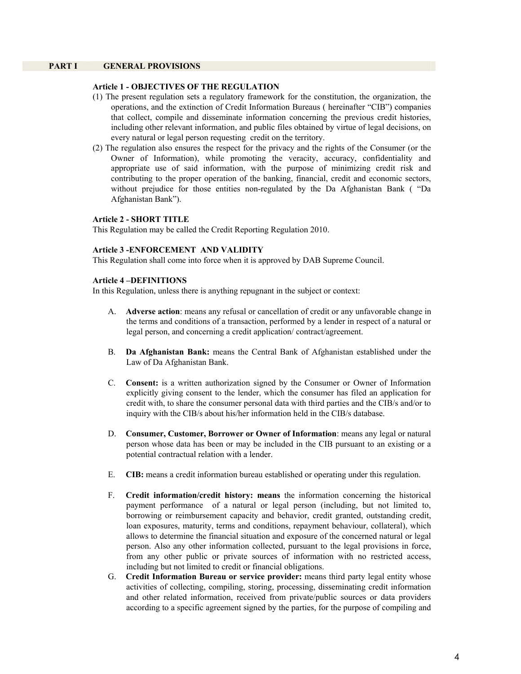## **PART I GENERAL PROVISIONS**

#### **Article 1 - OBJECTIVES OF THE REGULATION**

- (1) The present regulation sets a regulatory framework for the constitution, the organization, the operations, and the extinction of Credit Information Bureaus ( hereinafter "CIB") companies that collect, compile and disseminate information concerning the previous credit histories, including other relevant information, and public files obtained by virtue of legal decisions, on every natural or legal person requesting credit on the territory.
- (2) The regulation also ensures the respect for the privacy and the rights of the Consumer (or the Owner of Information), while promoting the veracity, accuracy, confidentiality and appropriate use of said information, with the purpose of minimizing credit risk and contributing to the proper operation of the banking, financial, credit and economic sectors, without prejudice for those entities non-regulated by the Da Afghanistan Bank ( "Da Afghanistan Bank").

#### **Article 2 - SHORT TITLE**

This Regulation may be called the Credit Reporting Regulation 2010.

#### **Article 3 -ENFORCEMENT AND VALIDITY**

This Regulation shall come into force when it is approved by DAB Supreme Council.

#### **Article 4 –DEFINITIONS**

In this Regulation, unless there is anything repugnant in the subject or context:

- A. **Adverse action**: means any refusal or cancellation of credit or any unfavorable change in the terms and conditions of a transaction, performed by a lender in respect of a natural or legal person, and concerning a credit application/ contract/agreement.
- B. **Da Afghanistan Bank:** means the Central Bank of Afghanistan established under the Law of Da Afghanistan Bank.
- C. **Consent:** is a written authorization signed by the Consumer or Owner of Information explicitly giving consent to the lender, which the consumer has filed an application for credit with, to share the consumer personal data with third parties and the CIB/s and/or to inquiry with the CIB/s about his/her information held in the CIB/s database.
- D. **Consumer, Customer, Borrower or Owner of Information**: means any legal or natural person whose data has been or may be included in the CIB pursuant to an existing or a potential contractual relation with a lender.
- E. **CIB:** means a credit information bureau established or operating under this regulation.
- F. **Credit information/credit history: means** the information concerning the historical payment performance of a natural or legal person (including, but not limited to, borrowing or reimbursement capacity and behavior, credit granted, outstanding credit, loan exposures, maturity, terms and conditions, repayment behaviour, collateral), which allows to determine the financial situation and exposure of the concerned natural or legal person. Also any other information collected, pursuant to the legal provisions in force, from any other public or private sources of information with no restricted access, including but not limited to credit or financial obligations.
- G. **Credit Information Bureau or service provider:** means third party legal entity whose activities of collecting, compiling, storing, processing, disseminating credit information and other related information, received from private/public sources or data providers according to a specific agreement signed by the parties, for the purpose of compiling and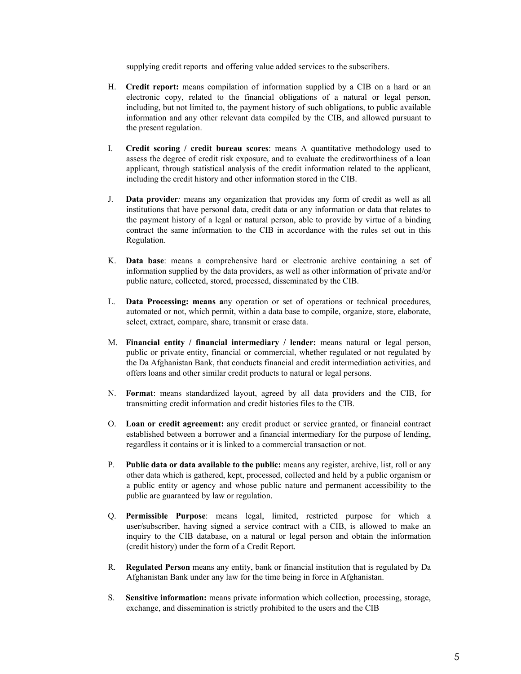supplying credit reports and offering value added services to the subscribers.

- H. **Credit report:** means compilation of information supplied by a CIB on a hard or an electronic copy, related to the financial obligations of a natural or legal person, including, but not limited to, the payment history of such obligations, to public available information and any other relevant data compiled by the CIB, and allowed pursuant to the present regulation.
- I. **Credit scoring / credit bureau scores**: means A quantitative methodology used to assess the degree of credit risk exposure, and to evaluate the creditworthiness of a loan applicant, through statistical analysis of the credit information related to the applicant, including the credit history and other information stored in the CIB.
- J. **Data provider***:* means any organization that provides any form of credit as well as all institutions that have personal data, credit data or any information or data that relates to the payment history of a legal or natural person, able to provide by virtue of a binding contract the same information to the CIB in accordance with the rules set out in this Regulation.
- K. **Data base**: means a comprehensive hard or electronic archive containing a set of information supplied by the data providers, as well as other information of private and/or public nature, collected, stored, processed, disseminated by the CIB.
- L. **Data Processing: means a**ny operation or set of operations or technical procedures, automated or not, which permit, within a data base to compile, organize, store, elaborate, select, extract, compare, share, transmit or erase data.
- M. **Financial entity / financial intermediary / lender:** means natural or legal person, public or private entity, financial or commercial, whether regulated or not regulated by the Da Afghanistan Bank, that conducts financial and credit intermediation activities, and offers loans and other similar credit products to natural or legal persons.
- N. **Format**: means standardized layout, agreed by all data providers and the CIB, for transmitting credit information and credit histories files to the CIB.
- O. **Loan or credit agreement:** any credit product or service granted, or financial contract established between a borrower and a financial intermediary for the purpose of lending, regardless it contains or it is linked to a commercial transaction or not.
- P. **Public data or data available to the public:** means any register, archive, list, roll or any other data which is gathered, kept, processed, collected and held by a public organism or a public entity or agency and whose public nature and permanent accessibility to the public are guaranteed by law or regulation.
- Q. **Permissible Purpose**: means legal, limited, restricted purpose for which a user/subscriber, having signed a service contract with a CIB, is allowed to make an inquiry to the CIB database, on a natural or legal person and obtain the information (credit history) under the form of a Credit Report.
- R. **Regulated Person** means any entity, bank or financial institution that is regulated by Da Afghanistan Bank under any law for the time being in force in Afghanistan.
- S. **Sensitive information:** means private information which collection, processing, storage, exchange, and dissemination is strictly prohibited to the users and the CIB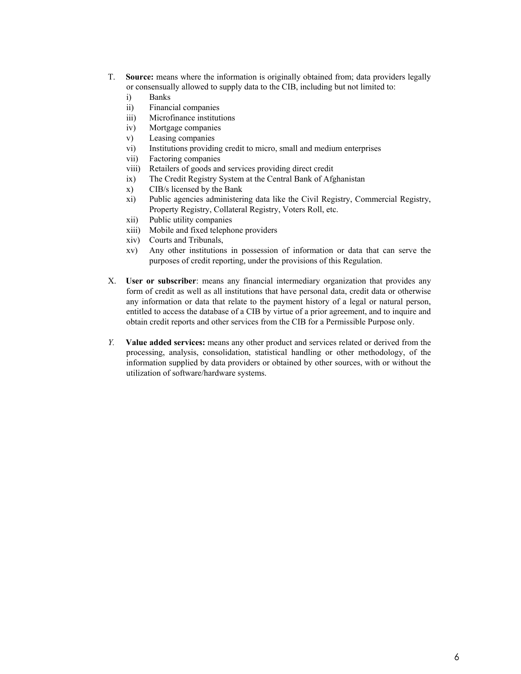- T. **Source:** means where the information is originally obtained from; data providers legally or consensually allowed to supply data to the CIB, including but not limited to:
	- i) Banks
	- ii) Financial companies
	- iii) Microfinance institutions
	- iv) Mortgage companies
	- v) Leasing companies
	- vi) Institutions providing credit to micro, small and medium enterprises
	- vii) Factoring companies
	- viii) Retailers of goods and services providing direct credit
	- ix) The Credit Registry System at the Central Bank of Afghanistan
	- x) CIB/s licensed by the Bank
	- xi) Public agencies administering data like the Civil Registry, Commercial Registry, Property Registry, Collateral Registry, Voters Roll, etc.
	- xii) Public utility companies
	- xiii) Mobile and fixed telephone providers
	- xiv) Courts and Tribunals,
	- xv) Any other institutions in possession of information or data that can serve the purposes of credit reporting, under the provisions of this Regulation.
- X. **User or subscriber**: means any financial intermediary organization that provides any form of credit as well as all institutions that have personal data, credit data or otherwise any information or data that relate to the payment history of a legal or natural person, entitled to access the database of a CIB by virtue of a prior agreement, and to inquire and obtain credit reports and other services from the CIB for a Permissible Purpose only.
- *Y.* **Value added services:** means any other product and services related or derived from the processing, analysis, consolidation, statistical handling or other methodology, of the information supplied by data providers or obtained by other sources, with or without the utilization of software/hardware systems.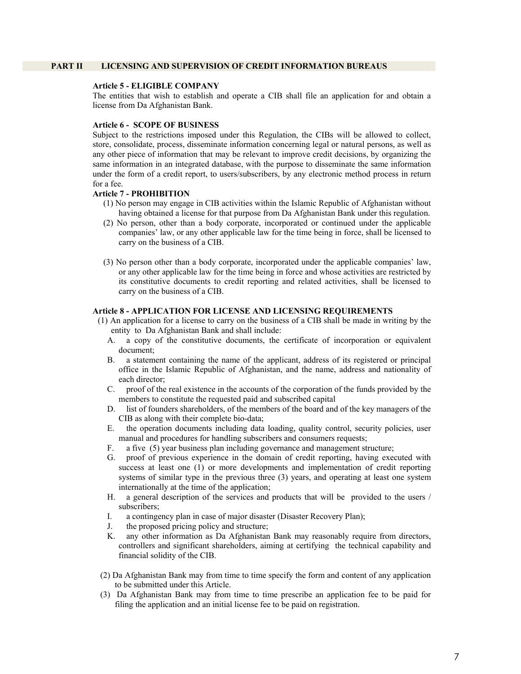#### **PART II LICENSING AND SUPERVISION OF CREDIT INFORMATION BUREAUS**

## **Article 5 - ELIGIBLE COMPANY**

The entities that wish to establish and operate a CIB shall file an application for and obtain a license from Da Afghanistan Bank.

#### **Article 6 - SCOPE OF BUSINESS**

Subject to the restrictions imposed under this Regulation, the CIBs will be allowed to collect, store, consolidate, process, disseminate information concerning legal or natural persons, as well as any other piece of information that may be relevant to improve credit decisions, by organizing the same information in an integrated database, with the purpose to disseminate the same information under the form of a credit report, to users/subscribers, by any electronic method process in return for a fee.

#### **Article 7 - PROHIBITION**

- (1) No person may engage in CIB activities within the Islamic Republic of Afghanistan without having obtained a license for that purpose from Da Afghanistan Bank under this regulation.
- (2) No person, other than a body corporate, incorporated or continued under the applicable companies' law, or any other applicable law for the time being in force, shall be licensed to carry on the business of a CIB.
- (3) No person other than a body corporate, incorporated under the applicable companies' law, or any other applicable law for the time being in force and whose activities are restricted by its constitutive documents to credit reporting and related activities, shall be licensed to carry on the business of a CIB.

#### **Article 8 - APPLICATION FOR LICENSE AND LICENSING REQUIREMENTS**

- (1) An application for a license to carry on the business of a CIB shall be made in writing by the entity to Da Afghanistan Bank and shall include:
	- A. a copy of the constitutive documents, the certificate of incorporation or equivalent document;
	- B. a statement containing the name of the applicant, address of its registered or principal office in the Islamic Republic of Afghanistan, and the name, address and nationality of each director;
	- C. proof of the real existence in the accounts of the corporation of the funds provided by the members to constitute the requested paid and subscribed capital
	- D. list of founders shareholders, of the members of the board and of the key managers of the CIB as along with their complete bio-data;
	- E. the operation documents including data loading, quality control, security policies, user manual and procedures for handling subscribers and consumers requests;
	- F. a five (5) year business plan including governance and management structure;
	- G. proof of previous experience in the domain of credit reporting, having executed with success at least one (1) or more developments and implementation of credit reporting systems of similar type in the previous three (3) years, and operating at least one system internationally at the time of the application;
	- H. a general description of the services and products that will be provided to the users / subscribers;
	- I. a contingency plan in case of major disaster (Disaster Recovery Plan);
	- J. the proposed pricing policy and structure;
	- K. any other information as Da Afghanistan Bank may reasonably require from directors, controllers and significant shareholders, aiming at certifying the technical capability and financial solidity of the CIB.
- (2) Da Afghanistan Bank may from time to time specify the form and content of any application to be submitted under this Article.
- (3) Da Afghanistan Bank may from time to time prescribe an application fee to be paid for filing the application and an initial license fee to be paid on registration.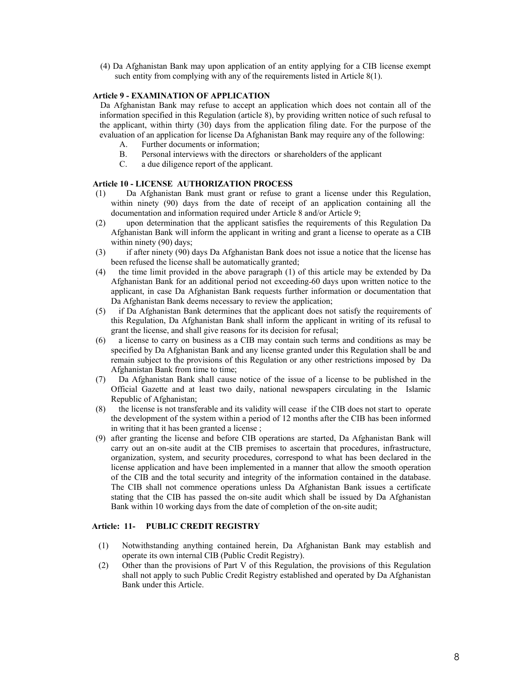(4) Da Afghanistan Bank may upon application of an entity applying for a CIB license exempt such entity from complying with any of the requirements listed in Article 8(1).

#### **Article 9 - EXAMINATION OF APPLICATION**

Da Afghanistan Bank may refuse to accept an application which does not contain all of the information specified in this Regulation (article 8), by providing written notice of such refusal to the applicant, within thirty (30) days from the application filing date. For the purpose of the evaluation of an application for license Da Afghanistan Bank may require any of the following:

- A. Further documents or information;
- B. Personal interviews with the directors or shareholders of the applicant
- C. a due diligence report of the applicant.

## **Article 10 - LICENSE AUTHORIZATION PROCESS**

- (1) Da Afghanistan Bank must grant or refuse to grant a license under this Regulation, within ninety (90) days from the date of receipt of an application containing all the documentation and information required under Article 8 and/or Article 9;
- (2) upon determination that the applicant satisfies the requirements of this Regulation Da Afghanistan Bank will inform the applicant in writing and grant a license to operate as a CIB within ninety (90) days;
- (3) if after ninety (90) days Da Afghanistan Bank does not issue a notice that the license has been refused the license shall be automatically granted;
- (4) the time limit provided in the above paragraph (1) of this article may be extended by Da Afghanistan Bank for an additional period not exceeding 60 days upon written notice to the applicant, in case Da Afghanistan Bank requests further information or documentation that Da Afghanistan Bank deems necessary to review the application;
- (5) if Da Afghanistan Bank determines that the applicant does not satisfy the requirements of this Regulation, Da Afghanistan Bank shall inform the applicant in writing of its refusal to grant the license, and shall give reasons for its decision for refusal;
- (6) a license to carry on business as a CIB may contain such terms and conditions as may be specified by Da Afghanistan Bank and any license granted under this Regulation shall be and remain subject to the provisions of this Regulation or any other restrictions imposed by Da Afghanistan Bank from time to time;
- (7) Da Afghanistan Bank shall cause notice of the issue of a license to be published in the Official Gazette and at least two daily, national newspapers circulating in the Islamic Republic of Afghanistan;
- (8) the license is not transferable and its validity will cease if the CIB does not start to operate the development of the system within a period of 12 months after the CIB has been informed in writing that it has been granted a license ;
- (9) after granting the license and before CIB operations are started, Da Afghanistan Bank will carry out an on-site audit at the CIB premises to ascertain that procedures, infrastructure, organization, system, and security procedures, correspond to what has been declared in the license application and have been implemented in a manner that allow the smooth operation of the CIB and the total security and integrity of the information contained in the database. The CIB shall not commence operations unless Da Afghanistan Bank issues a certificate stating that the CIB has passed the on-site audit which shall be issued by Da Afghanistan Bank within 10 working days from the date of completion of the on-site audit;

## **Article: 11- PUBLIC CREDIT REGISTRY**

- (1) Notwithstanding anything contained herein, Da Afghanistan Bank may establish and operate its own internal CIB (Public Credit Registry).
- (2) Other than the provisions of Part V of this Regulation, the provisions of this Regulation shall not apply to such Public Credit Registry established and operated by Da Afghanistan Bank under this Article.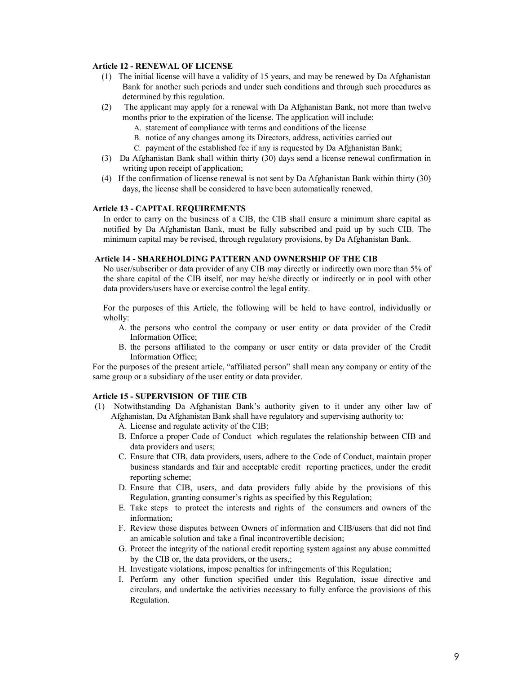## **Article 12 - RENEWAL OF LICENSE**

- (1) The initial license will have a validity of 15 years, and may be renewed by Da Afghanistan Bank for another such periods and under such conditions and through such procedures as determined by this regulation.
- (2) The applicant may apply for a renewal with Da Afghanistan Bank, not more than twelve months prior to the expiration of the license. The application will include:
	- A. statement of compliance with terms and conditions of the license
	- B. notice of any changes among its Directors, address, activities carried out
	- C. payment of the established fee if any is requested by Da Afghanistan Bank;
- (3) Da Afghanistan Bank shall within thirty (30) days send a license renewal confirmation in writing upon receipt of application;
- (4) If the confirmation of license renewal is not sent by Da Afghanistan Bank within thirty (30) days, the license shall be considered to have been automatically renewed.

#### **Article 13 - CAPITAL REQUIREMENTS**

In order to carry on the business of a CIB, the CIB shall ensure a minimum share capital as notified by Da Afghanistan Bank, must be fully subscribed and paid up by such CIB. The minimum capital may be revised, through regulatory provisions, by Da Afghanistan Bank.

#### **Article 14 - SHAREHOLDING PATTERN AND OWNERSHIP OF THE CIB**

No user/subscriber or data provider of any CIB may directly or indirectly own more than 5% of the share capital of the CIB itself, nor may he/she directly or indirectly or in pool with other data providers/users have or exercise control the legal entity.

For the purposes of this Article, the following will be held to have control, individually or wholly:

- A. the persons who control the company or user entity or data provider of the Credit Information Office;
- B. the persons affiliated to the company or user entity or data provider of the Credit Information Office;

For the purposes of the present article, "affiliated person" shall mean any company or entity of the same group or a subsidiary of the user entity or data provider.

#### **Article 15 - SUPERVISION OF THE CIB**

- (1) Notwithstanding Da Afghanistan Bank's authority given to it under any other law of Afghanistan, Da Afghanistan Bank shall have regulatory and supervising authority to:
	- A. License and regulate activity of the CIB;
	- B. Enforce a proper Code of Conduct which regulates the relationship between CIB and data providers and users;
	- C. Ensure that CIB, data providers, users, adhere to the Code of Conduct, maintain proper business standards and fair and acceptable credit reporting practices, under the credit reporting scheme;
	- D. Ensure that CIB, users, and data providers fully abide by the provisions of this Regulation, granting consumer's rights as specified by this Regulation;
	- E. Take steps to protect the interests and rights of the consumers and owners of the information;
	- F. Review those disputes between Owners of information and CIB/users that did not find an amicable solution and take a final incontrovertible decision;
	- G. Protect the integrity of the national credit reporting system against any abuse committed by the CIB or, the data providers, or the users,;
	- H. Investigate violations, impose penalties for infringements of this Regulation;
	- I. Perform any other function specified under this Regulation, issue directive and circulars, and undertake the activities necessary to fully enforce the provisions of this Regulation.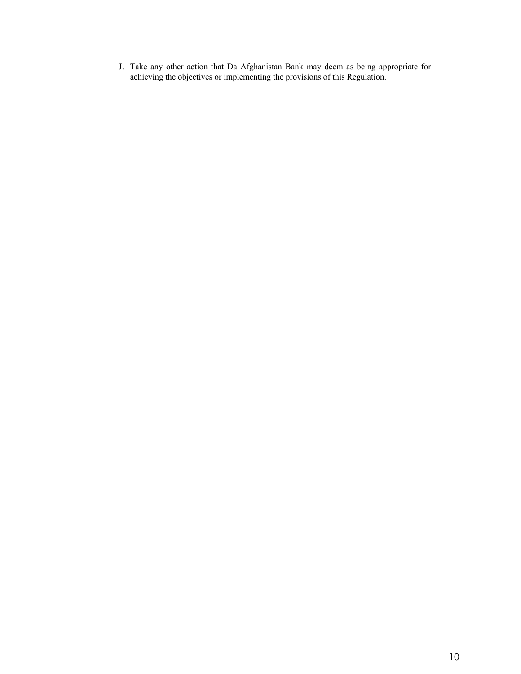J. Take any other action that Da Afghanistan Bank may deem as being appropriate for achieving the objectives or implementing the provisions of this Regulation.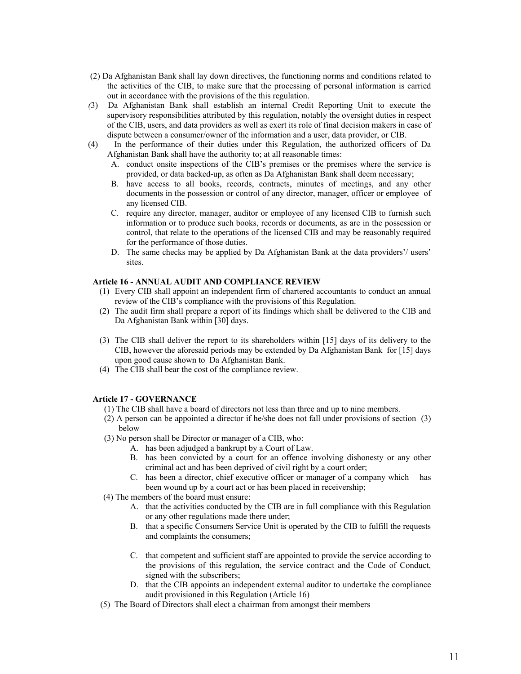- (2) Da Afghanistan Bank shall lay down directives, the functioning norms and conditions related to the activities of the CIB, to make sure that the processing of personal information is carried out in accordance with the provisions of the this regulation.
- *(*3) Da Afghanistan Bank shall establish an internal Credit Reporting Unit to execute the supervisory responsibilities attributed by this regulation, notably the oversight duties in respect of the CIB, users, and data providers as well as exert its role of final decision makers in case of dispute between a consumer/owner of the information and a user, data provider, or CIB.
- (4) In the performance of their duties under this Regulation, the authorized officers of Da Afghanistan Bank shall have the authority to; at all reasonable times:
	- A. conduct onsite inspections of the CIB's premises or the premises where the service is provided, or data backed-up, as often as Da Afghanistan Bank shall deem necessary;
	- B. have access to all books, records, contracts, minutes of meetings, and any other documents in the possession or control of any director, manager, officer or employee of any licensed CIB.
	- C. require any director, manager, auditor or employee of any licensed CIB to furnish such information or to produce such books, records or documents, as are in the possession or control, that relate to the operations of the licensed CIB and may be reasonably required for the performance of those duties.
	- D. The same checks may be applied by Da Afghanistan Bank at the data providers'/ users' sites.

## **Article 16 - ANNUAL AUDIT AND COMPLIANCE REVIEW**

- (1) Every CIB shall appoint an independent firm of chartered accountants to conduct an annual review of the CIB's compliance with the provisions of this Regulation.
- (2) The audit firm shall prepare a report of its findings which shall be delivered to the CIB and Da Afghanistan Bank within [30] days.
- (3) The CIB shall deliver the report to its shareholders within [15] days of its delivery to the CIB, however the aforesaid periods may be extended by Da Afghanistan Bankfor [15] days upon good cause shown to Da Afghanistan Bank.
- (4) The CIB shall bear the cost of the compliance review.

#### **Article 17 - GOVERNANCE**

- (1) The CIB shall have a board of directors not less than three and up to nine members.
- (2) A person can be appointed a director if he/she does not fall under provisions of section (3) below
- (3) No person shall be Director or manager of a CIB, who:
	- A. has been adjudged a bankrupt by a Court of Law.
	- B. has been convicted by a court for an offence involving dishonesty or any other criminal act and has been deprived of civil right by a court order;
	- C. has been a director, chief executive officer or manager of a company which has been wound up by a court act or has been placed in receivership;
- (4) The members of the board must ensure:
	- A. that the activities conducted by the CIB are in full compliance with this Regulation or any other regulations made there under;
	- B. that a specific Consumers Service Unit is operated by the CIB to fulfill the requests and complaints the consumers;
	- C. that competent and sufficient staff are appointed to provide the service according to the provisions of this regulation, the service contract and the Code of Conduct, signed with the subscribers;
	- D. that the CIB appoints an independent external auditor to undertake the compliance audit provisioned in this Regulation (Article 16)
- (5) The Board of Directors shall elect a chairman from amongst their members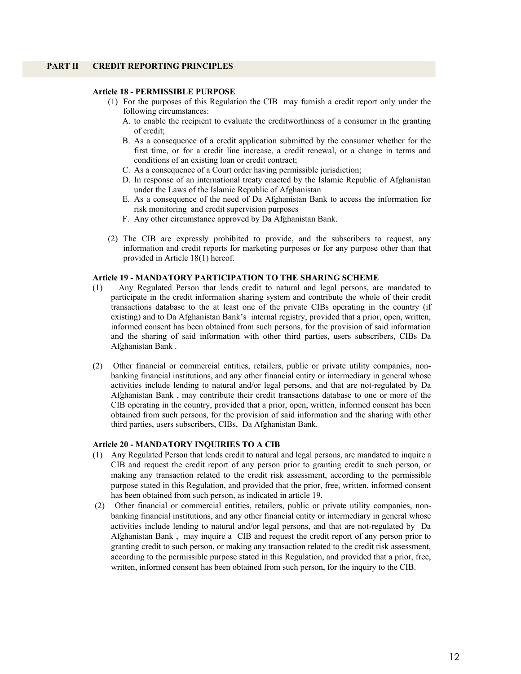#### **PART II CREDIT REPORTING PRINCIPLES**

#### **Article 18 - PERMISSIBLE PURPOSE**

- (1) For the purposes of this Regulation the CIB may furnish a credit report only under the following circumstances:
	- A. to enable the recipient to evaluate the creditworthiness of a consumer in the granting of credit;
	- B. As a consequence of a credit application submitted by the consumer whether for the first time, or for a credit line increase, a credit renewal, or a change in terms and conditions of an existing loan or credit contract;
	- C. As a consequence of a Court order having permissible jurisdiction;
	- D. In response of an international treaty enacted by the Islamic Republic of Afghanistan under the Laws of the Islamic Republic of Afghanistan
	- E. As a consequence of the need of Da Afghanistan Bank to access the information for risk monitoring and credit supervision purposes
	- F. Any other circumstance approved by Da Afghanistan Bank.
- (2) The CIB are expressly prohibited to provide, and the subscribers to request, any information and credit reports for marketing purposes or for any purpose other than that provided in Article 18(1) hereof.

#### **Article 19 - MANDATORY PARTICIPATION TO THE SHARING SCHEME**

- (1) Any Regulated Person that lends credit to natural and legal persons, are mandated to participate in the credit information sharing system and contribute the whole of their credit transactions database to the at least one of the private CIBs operating in the country (if existing) and to Da Afghanistan Bank's internal registry, provided that a prior, open, written, informed consent has been obtained from such persons, for the provision of said information and the sharing of said information with other third parties, users subscribers, CIBs Da Afghanistan Bank .
- (2) Other financial or commercial entities, retailers, public or private utility companies, nonbanking financial institutions, and any other financial entity or intermediary in general whose activities include lending to natural and/or legal persons, and that are not-regulated by Da Afghanistan Bank , may contribute their credit transactions database to one or more of the CIB operating in the country, provided that a prior, open, written, informed consent has been obtained from such persons, for the provision of said information and the sharing with other third parties, users subscribers, CIBs, Da Afghanistan Bank.

#### **Article 20 - MANDATORY INQUIRIES TO A CIB**

- (1) Any Regulated Person that lends credit to natural and legal persons, are mandated to inquire a CIB and request the credit report of any person prior to granting credit to such person, or making any transaction related to the credit risk assessment, according to the permissible purpose stated in this Regulation, and provided that the prior, free, written, informed consent has been obtained from such person, as indicated in article 19.
- (2) Other financial or commercial entities, retailers, public or private utility companies, nonbanking financial institutions, and any other financial entity or intermediary in general whose activities include lending to natural and/or legal persons, and that are not-regulated by Da Afghanistan Bank , may inquire a CIB and request the credit report of any person prior to granting credit to such person, or making any transaction related to the credit risk assessment, according to the permissible purpose stated in this Regulation, and provided that a prior, free, written, informed consent has been obtained from such person, for the inquiry to the CIB.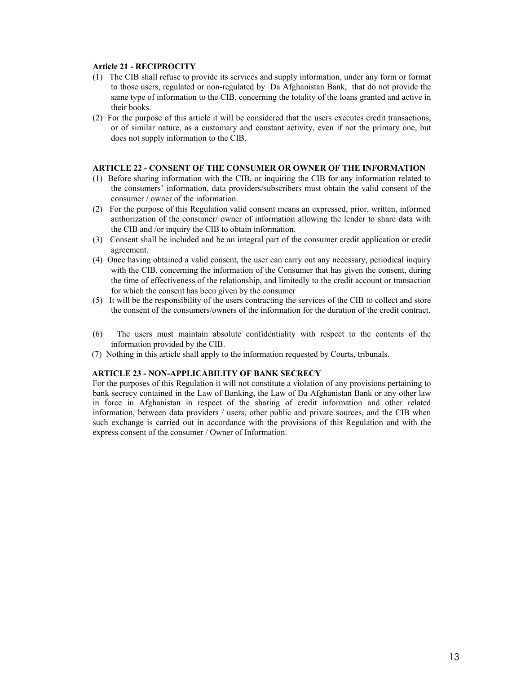#### **Article 21 - RECIPROCITY**

- (1) The CIB shall refuse to provide its services and supply information, under any form or format to those users, regulated or non-regulated by Da Afghanistan Bank, that do not provide the same type of information to the CIB, concerning the totality of the loans granted and active in their books.
- (2) For the purpose of this article it will be considered that the users executes credit transactions, or of similar nature, as a customary and constant activity, even if not the primary one, but does not supply information to the CIB.

#### **ARTICLE 22 - CONSENT OF THE CONSUMER OR OWNER OF THE INFORMATION**

- (1) Before sharing information with the CIB, or inquiring the CIB for any information related to the consumers' information, data providers/subscribers must obtain the valid consent of the consumer / owner of the information.
- (2) For the purpose of this Regulation valid consent means an expressed, prior, written, informed authorization of the consumer/ owner of information allowing the lender to share data with the CIB and /or inquiry the CIB to obtain information.
- (3) Consent shall be included and be an integral part of the consumer credit application or credit agreement.
- (4) Once having obtained a valid consent, the user can carry out any necessary, periodical inquiry with the CIB, concerning the information of the Consumer that has given the consent, during the time of effectiveness of the relationship, and limitedly to the credit account or transaction for which the consent has been given by the consumer
- (5) It will be the responsibility of the users contracting the services of the CIB to collect and store the consent of the consumers/owners of the information for the duration of the credit contract.
- (6) The users must maintain absolute confidentiality with respect to the contents of the information provided by the CIB.
- (7) Nothing in this article shall apply to the information requested by Courts, tribunals.

#### **ARTICLE 23 - NON-APPLICABILITY OF BANK SECRECY**

For the purposes of this Regulation it will not constitute a violation of any provisions pertaining to bank secrecy contained in the Law of Banking, the Law of Da Afghanistan Bank or any other law in force in Afghanistan in respect of the sharing of credit information and other related information, between data providers / users, other public and private sources, and the CIB when such exchange is carried out in accordance with the provisions of this Regulation and with the express consent of the consumer / Owner of Information.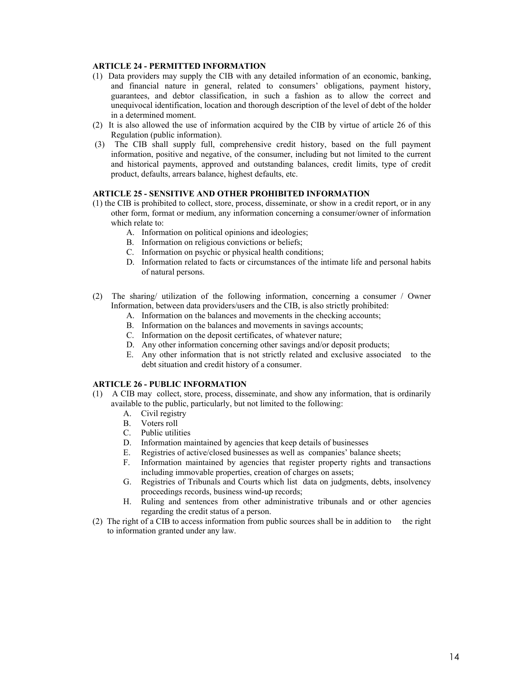## **ARTICLE 24 - PERMITTED INFORMATION**

- (1) Data providers may supply the CIB with any detailed information of an economic, banking, and financial nature in general, related to consumers' obligations, payment history, guarantees, and debtor classification, in such a fashion as to allow the correct and unequivocal identification, location and thorough description of the level of debt of the holder in a determined moment.
- (2) It is also allowed the use of information acquired by the CIB by virtue of article 26 of this Regulation (public information).
- (3) The CIB shall supply full, comprehensive credit history, based on the full payment information, positive and negative, of the consumer, including but not limited to the current and historical payments, approved and outstanding balances, credit limits, type of credit product, defaults, arrears balance, highest defaults, etc.

#### **ARTICLE 25 - SENSITIVE AND OTHER PROHIBITED INFORMATION**

- (1) the CIB is prohibited to collect, store, process, disseminate, or show in a credit report, or in any other form, format or medium, any information concerning a consumer/owner of information which relate to:
	- A. Information on political opinions and ideologies;
	- B. Information on religious convictions or beliefs;
	- C. Information on psychic or physical health conditions;
	- D. Information related to facts or circumstances of the intimate life and personal habits of natural persons.
- (2) The sharing/ utilization of the following information, concerning a consumer / Owner Information, between data providers/users and the CIB, is also strictly prohibited:
	- A. Information on the balances and movements in the checking accounts;
	- B. Information on the balances and movements in savings accounts;
	- C. Information on the deposit certificates, of whatever nature;
	- D. Any other information concerning other savings and/or deposit products;
	- E. Any other information that is not strictly related and exclusive associated to the debt situation and credit history of a consumer.

## **ARTICLE 26 - PUBLIC INFORMATION**

- (1) A CIB may collect, store, process, disseminate, and show any information, that is ordinarily available to the public, particularly, but not limited to the following:
	- A. Civil registry
	- B. Voters roll
	- C. Public utilities
	- D. Information maintained by agencies that keep details of businesses
	- E. Registries of active/closed businesses as well as companies' balance sheets;
	- F. Information maintained by agencies that register property rights and transactions including immovable properties, creation of charges on assets;
	- G. Registries of Tribunals and Courts which list data on judgments, debts, insolvency proceedings records, business wind-up records;
	- H. Ruling and sentences from other administrative tribunals and or other agencies regarding the credit status of a person.
- (2) The right of a CIB to access information from public sources shall be in addition to the right to information granted under any law.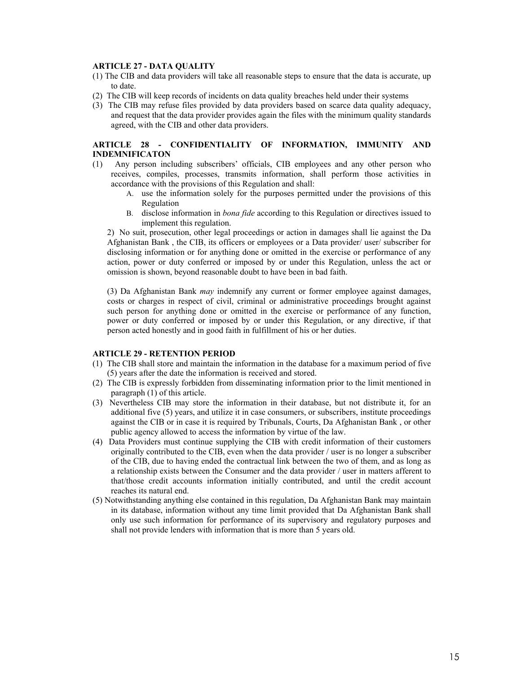## **ARTICLE 27 - DATA QUALITY**

- (1) The CIB and data providers will take all reasonable steps to ensure that the data is accurate, up to date.
- (2) The CIB will keep records of incidents on data quality breaches held under their systems
- (3) The CIB may refuse files provided by data providers based on scarce data quality adequacy, and request that the data provider provides again the files with the minimum quality standards agreed, with the CIB and other data providers.

#### **ARTICLE 28 - CONFIDENTIALITY OF INFORMATION, IMMUNITY AND INDEMNIFICATON**

- (1) Any person including subscribers' officials, CIB employees and any other person who receives, compiles, processes, transmits information, shall perform those activities in accordance with the provisions of this Regulation and shall:
	- A. use the information solely for the purposes permitted under the provisions of this Regulation
	- B. disclose information in *bona fide* according to this Regulation or directives issued to implement this regulation.

2) No suit, prosecution, other legal proceedings or action in damages shall lie against the Da Afghanistan Bank , the CIB, its officers or employees or a Data provider/ user/ subscriber for disclosing information or for anything done or omitted in the exercise or performance of any action, power or duty conferred or imposed by or under this Regulation, unless the act or omission is shown, beyond reasonable doubt to have been in bad faith.

(3) Da Afghanistan Bank *may* indemnify any current or former employee against damages, costs or charges in respect of civil, criminal or administrative proceedings brought against such person for anything done or omitted in the exercise or performance of any function, power or duty conferred or imposed by or under this Regulation, or any directive, if that person acted honestly and in good faith in fulfillment of his or her duties.

#### **ARTICLE 29 - RETENTION PERIOD**

- (1) The CIB shall store and maintain the information in the database for a maximum period of five (5) years after the date the information is received and stored.
- (2) The CIB is expressly forbidden from disseminating information prior to the limit mentioned in paragraph (1) of this article.
- (3) Nevertheless CIB may store the information in their database, but not distribute it, for an additional five (5) years, and utilize it in case consumers, or subscribers, institute proceedings against the CIB or in case it is required by Tribunals, Courts, Da Afghanistan Bank , or other public agency allowed to access the information by virtue of the law.
- (4) Data Providers must continue supplying the CIB with credit information of their customers originally contributed to the CIB, even when the data provider / user is no longer a subscriber of the CIB, due to having ended the contractual link between the two of them, and as long as a relationship exists between the Consumer and the data provider / user in matters afferent to that/those credit accounts information initially contributed, and until the credit account reaches its natural end.
- (5) Notwithstanding anything else contained in this regulation, Da Afghanistan Bank may maintain in its database, information without any time limit provided that Da Afghanistan Bank shall only use such information for performance of its supervisory and regulatory purposes and shall not provide lenders with information that is more than 5 years old.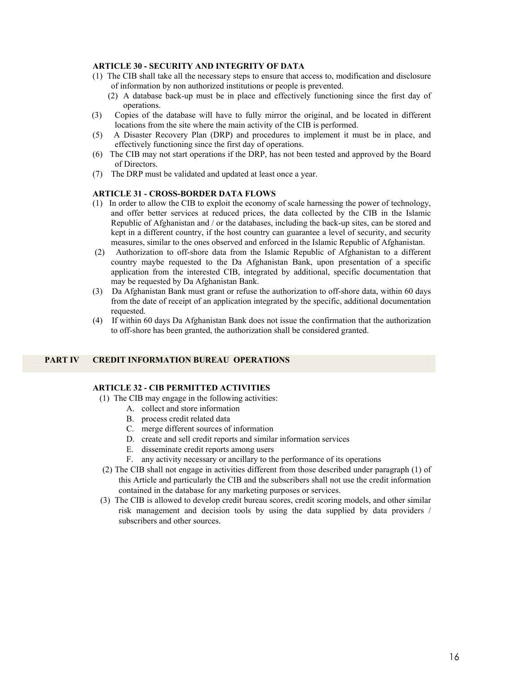## **ARTICLE 30 - SECURITY AND INTEGRITY OF DATA**

- (1) The CIB shall take all the necessary steps to ensure that access to, modification and disclosure of information by non authorized institutions or people is prevented.
	- (2) A database back-up must be in place and effectively functioning since the first day of operations.
- (3) Copies of the database will have to fully mirror the original, and be located in different locations from the site where the main activity of the CIB is performed.
- (5) A Disaster Recovery Plan (DRP) and procedures to implement it must be in place, and effectively functioning since the first day of operations.
- (6) The CIB may not start operations if the DRP, has not been tested and approved by the Board of Directors.
- (7) The DRP must be validated and updated at least once a year.

#### **ARTICLE 31 - CROSS-BORDER DATA FLOWS**

- (1) In order to allow the CIB to exploit the economy of scale harnessing the power of technology, and offer better services at reduced prices, the data collected by the CIB in the Islamic Republic of Afghanistan and / or the databases, including the back-up sites, can be stored and kept in a different country, if the host country can guarantee a level of security, and security measures, similar to the ones observed and enforced in the Islamic Republic of Afghanistan.
- (2) Authorization to off-shore data from the Islamic Republic of Afghanistan to a different country maybe requested to the Da Afghanistan Bank, upon presentation of a specific application from the interested CIB, integrated by additional, specific documentation that may be requested by Da Afghanistan Bank.
- (3) Da Afghanistan Bank must grant or refuse the authorization to off-shore data, within 60 days from the date of receipt of an application integrated by the specific, additional documentation requested.
- (4) If within 60 days Da Afghanistan Bank does not issue the confirmation that the authorization to off-shore has been granted, the authorization shall be considered granted.

# **PART IV CREDIT INFORMATION BUREAU OPERATIONS**

## **ARTICLE 32 - CIB PERMITTED ACTIVITIES**

- (1) The CIB may engage in the following activities:
	- A. collect and store information
	- B. process credit related data
	- C. merge different sources of information
	- D. create and sell credit reports and similar information services
	- E. disseminate credit reports among users
	- F. any activity necessary or ancillary to the performance of its operations
- (2) The CIB shall not engage in activities different from those described under paragraph (1) of this Article and particularly the CIB and the subscribers shall not use the credit information contained in the database for any marketing purposes or services.
- (3) The CIB is allowed to develop credit bureau scores, credit scoring models, and other similar risk management and decision tools by using the data supplied by data providers / subscribers and other sources.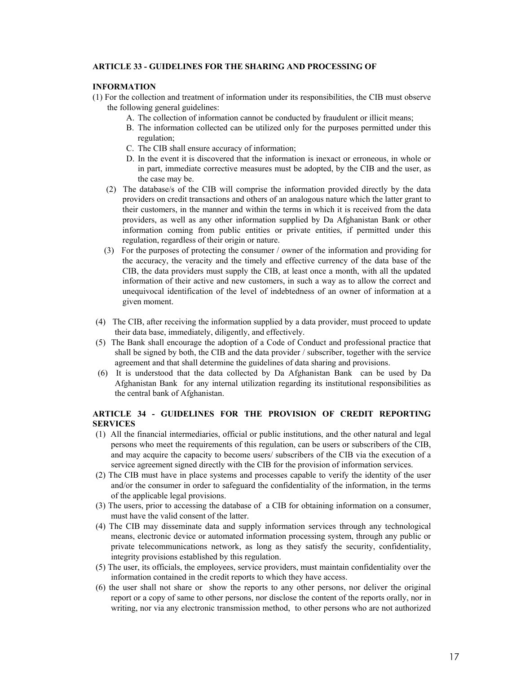#### **ARTICLE 33 - GUIDELINES FOR THE SHARING AND PROCESSING OF**

#### **INFORMATION**

- (1) For the collection and treatment of information under its responsibilities, the CIB must observe the following general guidelines:
	- A. The collection of information cannot be conducted by fraudulent or illicit means;
	- B. The information collected can be utilized only for the purposes permitted under this regulation;
	- C. The CIB shall ensure accuracy of information;
	- D. In the event it is discovered that the information is inexact or erroneous, in whole or in part, immediate corrective measures must be adopted, by the CIB and the user, as the case may be.
	- (2) The database/s of the CIB will comprise the information provided directly by the data providers on credit transactions and others of an analogous nature which the latter grant to their customers, in the manner and within the terms in which it is received from the data providers, as well as any other information supplied by Da Afghanistan Bank or other information coming from public entities or private entities, if permitted under this regulation, regardless of their origin or nature.
	- (3) For the purposes of protecting the consumer / owner of the information and providing for the accuracy, the veracity and the timely and effective currency of the data base of the CIB, the data providers must supply the CIB, at least once a month, with all the updated information of their active and new customers, in such a way as to allow the correct and unequivocal identification of the level of indebtedness of an owner of information at a given moment.
- (4) The CIB, after receiving the information supplied by a data provider, must proceed to update their data base, immediately, diligently, and effectively.
- (5) The Bank shall encourage the adoption of a Code of Conduct and professional practice that shall be signed by both, the CIB and the data provider / subscriber, together with the service agreement and that shall determine the guidelines of data sharing and provisions.
- (6) It is understood that the data collected by Da Afghanistan Bank can be used by Da Afghanistan Bank for any internal utilization regarding its institutional responsibilities as the central bank of Afghanistan.

## **ARTICLE 34 - GUIDELINES FOR THE PROVISION OF CREDIT REPORTING SERVICES**

- (1) All the financial intermediaries, official or public institutions, and the other natural and legal persons who meet the requirements of this regulation, can be users or subscribers of the CIB, and may acquire the capacity to become users/ subscribers of the CIB via the execution of a service agreement signed directly with the CIB for the provision of information services.
- (2) The CIB must have in place systems and processes capable to verify the identity of the user and/or the consumer in order to safeguard the confidentiality of the information, in the terms of the applicable legal provisions.
- (3) The users, prior to accessing the database of a CIB for obtaining information on a consumer, must have the valid consent of the latter.
- (4) The CIB may disseminate data and supply information services through any technological means, electronic device or automated information processing system, through any public or private telecommunications network, as long as they satisfy the security, confidentiality, integrity provisions established by this regulation.
- (5) The user, its officials, the employees, service providers, must maintain confidentiality over the information contained in the credit reports to which they have access.
- (6) the user shall not share or show the reports to any other persons, nor deliver the original report or a copy of same to other persons, nor disclose the content of the reports orally, nor in writing, nor via any electronic transmission method, to other persons who are not authorized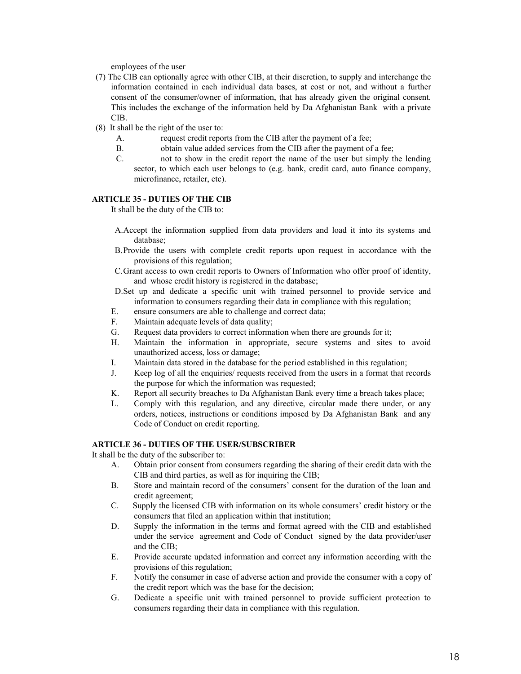employees of the user

- (7) The CIB can optionally agree with other CIB, at their discretion, to supply and interchange the information contained in each individual data bases, at cost or not, and without a further consent of the consumer/owner of information, that has already given the original consent. This includes the exchange of the information held by Da Afghanistan Bank with a private CIB.
- (8) It shall be the right of the user to:
	- A. request credit reports from the CIB after the payment of a fee;
	- B. obtain value added services from the CIB after the payment of a fee;
	- C. not to show in the credit report the name of the user but simply the lending sector, to which each user belongs to (e.g. bank, credit card, auto finance company, microfinance, retailer, etc).

## **ARTICLE 35 - DUTIES OF THE CIB**

It shall be the duty of the CIB to:

- A.Accept the information supplied from data providers and load it into its systems and database;
- B.Provide the users with complete credit reports upon request in accordance with the provisions of this regulation;
- C.Grant access to own credit reports to Owners of Information who offer proof of identity, and whose credit history is registered in the database;
- D.Set up and dedicate a specific unit with trained personnel to provide service and information to consumers regarding their data in compliance with this regulation;
- E. ensure consumers are able to challenge and correct data;
- F. Maintain adequate levels of data quality;
- G. Request data providers to correct information when there are grounds for it;
- H. Maintain the information in appropriate, secure systems and sites to avoid unauthorized access, loss or damage;
- I. Maintain data stored in the database for the period established in this regulation;
- J. Keep log of all the enquiries/ requests received from the users in a format that records the purpose for which the information was requested;
- K. Report all security breaches to Da Afghanistan Bank every time a breach takes place;
- L. Comply with this regulation, and any directive, circular made there under, or any orders, notices, instructions or conditions imposed by Da Afghanistan Bank and any Code of Conduct on credit reporting.

## **ARTICLE 36 - DUTIES OF THE USER/SUBSCRIBER**

It shall be the duty of the subscriber to:

- A. Obtain prior consent from consumers regarding the sharing of their credit data with the CIB and third parties, as well as for inquiring the CIB;
- B. Store and maintain record of the consumers' consent for the duration of the loan and credit agreement;
- C. Supply the licensed CIB with information on its whole consumers' credit history or the consumers that filed an application within that institution;
- D. Supply the information in the terms and format agreed with the CIB and established under the service agreement and Code of Conduct signed by the data provider/user and the CIB;
- E. Provide accurate updated information and correct any information according with the provisions of this regulation;
- F. Notify the consumer in case of adverse action and provide the consumer with a copy of the credit report which was the base for the decision;
- G. Dedicate a specific unit with trained personnel to provide sufficient protection to consumers regarding their data in compliance with this regulation.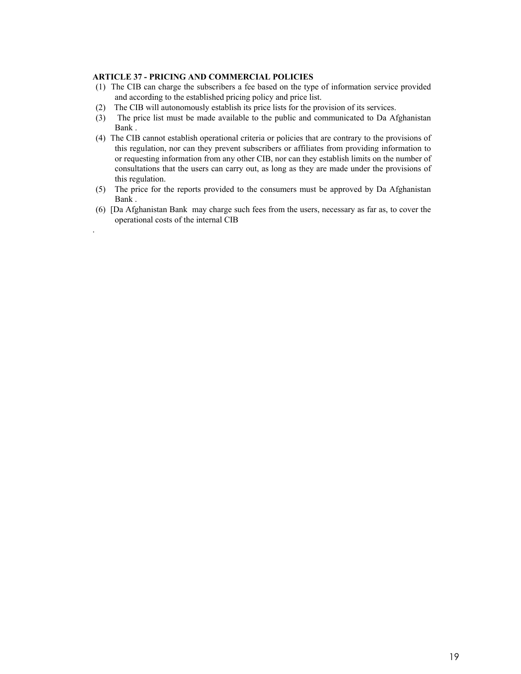## **ARTICLE 37 - PRICING AND COMMERCIAL POLICIES**

.

- (1) The CIB can charge the subscribers a fee based on the type of information service provided and according to the established pricing policy and price list.
- (2) The CIB will autonomously establish its price lists for the provision of its services.
- (3) The price list must be made available to the public and communicated to Da Afghanistan Bank .
- (4) The CIB cannot establish operational criteria or policies that are contrary to the provisions of this regulation, nor can they prevent subscribers or affiliates from providing information to or requesting information from any other CIB, nor can they establish limits on the number of consultations that the users can carry out, as long as they are made under the provisions of this regulation.
- (5) The price for the reports provided to the consumers must be approved by Da Afghanistan Bank .
- (6) [Da Afghanistan Bank may charge such fees from the users, necessary as far as, to cover the operational costs of the internal CIB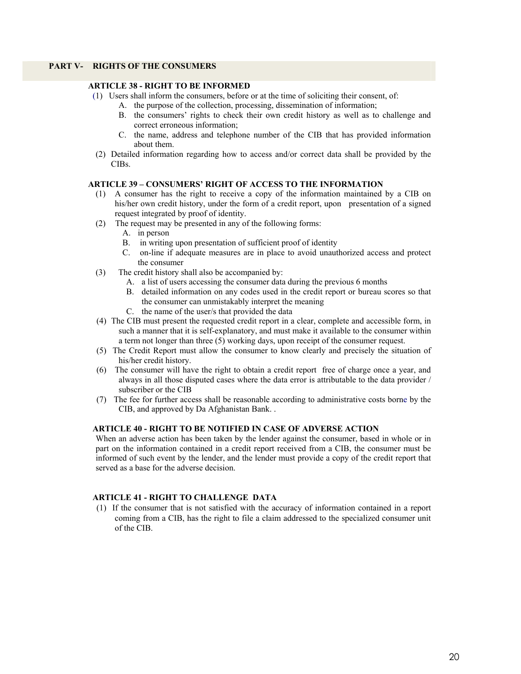## **PART V- RIGHTS OF THE CONSUMERS**

## **ARTICLE 38 - RIGHT TO BE INFORMED**

- (1) Users shall inform the consumers, before or at the time of soliciting their consent, of:
	- A. the purpose of the collection, processing, dissemination of information;
		- B. the consumers' rights to check their own credit history as well as to challenge and correct erroneous information;
		- C. the name, address and telephone number of the CIB that has provided information about them.
- (2) Detailed information regarding how to access and/or correct data shall be provided by the CIBs.

#### **ARTICLE 39 – CONSUMERS' RIGHT OF ACCESS TO THE INFORMATION**

- (1) A consumer has the right to receive a copy of the information maintained by a CIB on his/her own credit history, under the form of a credit report, upon presentation of a signed request integrated by proof of identity.
- (2) The request may be presented in any of the following forms:
	- A. in person
	- B. in writing upon presentation of sufficient proof of identity
	- C. on-line if adequate measures are in place to avoid unauthorized access and protect the consumer
- (3) The credit history shall also be accompanied by:
	- A. a list of users accessing the consumer data during the previous 6 months
	- B. detailed information on any codes used in the credit report or bureau scores so that the consumer can unmistakably interpret the meaning
	- C. the name of the user/s that provided the data
- (4) The CIB must present the requested credit report in a clear, complete and accessible form, in such a manner that it is self-explanatory, and must make it available to the consumer within a term not longer than three (5) working days, upon receipt of the consumer request.
- (5) The Credit Report must allow the consumer to know clearly and precisely the situation of his/her credit history.
- (6) The consumer will have the right to obtain a credit report free of charge once a year, and always in all those disputed cases where the data error is attributable to the data provider / subscriber or the CIB
- (7) The fee for further access shall be reasonable according to administrative costs borne by the CIB, and approved by Da Afghanistan Bank. .

## **ARTICLE 40 - RIGHT TO BE NOTIFIED IN CASE OF ADVERSE ACTION**

When an adverse action has been taken by the lender against the consumer, based in whole or in part on the information contained in a credit report received from a CIB, the consumer must be informed of such event by the lender, and the lender must provide a copy of the credit report that served as a base for the adverse decision.

## **ARTICLE 41 - RIGHT TO CHALLENGE DATA**

(1) If the consumer that is not satisfied with the accuracy of information contained in a report coming from a CIB, has the right to file a claim addressed to the specialized consumer unit of the CIB.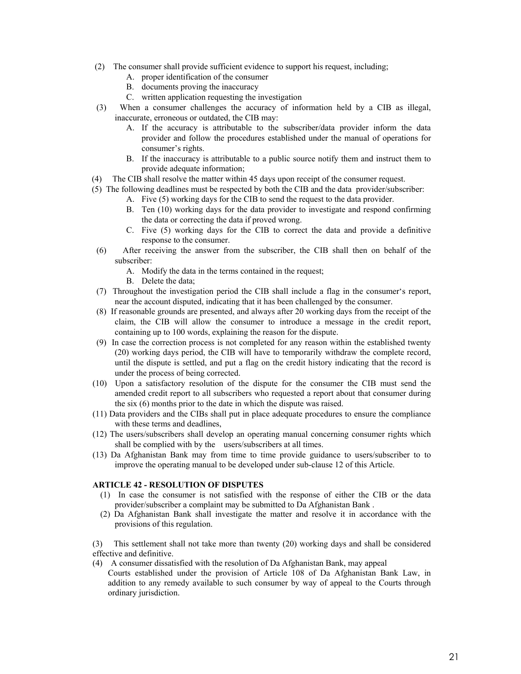- (2) The consumer shall provide sufficient evidence to support his request, including;
	- A. proper identification of the consumer
	- B. documents proving the inaccuracy
	- C. written application requesting the investigation
- (3) When a consumer challenges the accuracy of information held by a CIB as illegal, inaccurate, erroneous or outdated, the CIB may:
	- A. If the accuracy is attributable to the subscriber/data provider inform the data provider and follow the procedures established under the manual of operations for consumer's rights.
	- B. If the inaccuracy is attributable to a public source notify them and instruct them to provide adequate information;
- (4) The CIB shall resolve the matter within 45 days upon receipt of the consumer request.
- (5) The following deadlines must be respected by both the CIB and the data provider/subscriber:
	- A. Five (5) working days for the CIB to send the request to the data provider.
	- B. Ten (10) working days for the data provider to investigate and respond confirming the data or correcting the data if proved wrong.
	- C. Five (5) working days for the CIB to correct the data and provide a definitive response to the consumer.
- (6) After receiving the answer from the subscriber, the CIB shall then on behalf of the subscriber:
	- A. Modify the data in the terms contained in the request;
	- B. Delete the data;
- (7) Throughout the investigation period the CIB shall include a flag in the consumer's report, near the account disputed, indicating that it has been challenged by the consumer.
- (8) If reasonable grounds are presented, and always after 20 working days from the receipt of the claim, the CIB will allow the consumer to introduce a message in the credit report, containing up to 100 words, explaining the reason for the dispute.
- (9) In case the correction process is not completed for any reason within the established twenty (20) working days period, the CIB will have to temporarily withdraw the complete record, until the dispute is settled, and put a flag on the credit history indicating that the record is under the process of being corrected.
- (10) Upon a satisfactory resolution of the dispute for the consumer the CIB must send the amended credit report to all subscribers who requested a report about that consumer during the six (6) months prior to the date in which the dispute was raised.
- (11) Data providers and the CIBs shall put in place adequate procedures to ensure the compliance with these terms and deadlines,
- (12) The users/subscribers shall develop an operating manual concerning consumer rights which shall be complied with by the users/subscribers at all times.
- (13) Da Afghanistan Bank may from time to time provide guidance to users/subscriber to to improve the operating manual to be developed under sub-clause 12 of this Article.

## **ARTICLE 42 - RESOLUTION OF DISPUTES**

- (1) In case the consumer is not satisfied with the response of either the CIB or the data provider/subscriber a complaint may be submitted to Da Afghanistan Bank .
- (2) Da Afghanistan Bank shall investigate the matter and resolve it in accordance with the provisions of this regulation.

(3) This settlement shall not take more than twenty (20) working days and shall be considered effective and definitive.

(4) A consumer dissatisfied with the resolution of Da Afghanistan Bank, may appeal Courts established under the provision of Article 108 of Da Afghanistan Bank Law, in addition to any remedy available to such consumer by way of appeal to the Courts through ordinary jurisdiction.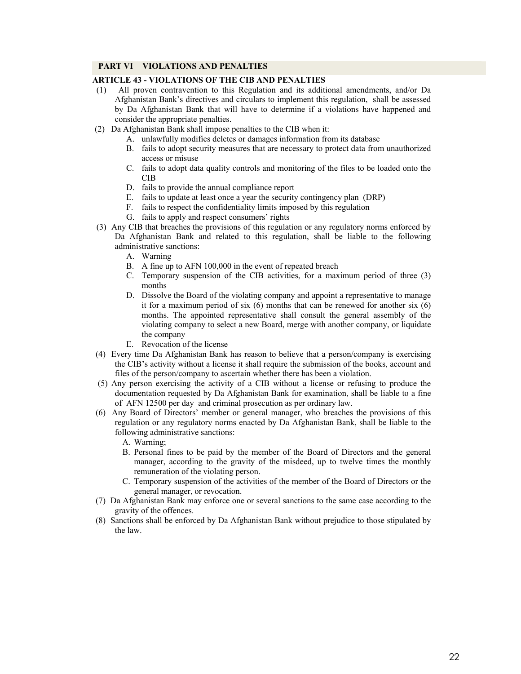## **PART VI VIOLATIONS AND PENALTIES**

# **ARTICLE 43 - VIOLATIONS OF THE CIB AND PENALTIES**

- (1) All proven contravention to this Regulation and its additional amendments, and/or Da Afghanistan Bank's directives and circulars to implement this regulation, shall be assessed by Da Afghanistan Bank that will have to determine if a violations have happened and consider the appropriate penalties.
- (2) Da Afghanistan Bank shall impose penalties to the CIB when it:
	- A. unlawfully modifies deletes or damages information from its database
	- B. fails to adopt security measures that are necessary to protect data from unauthorized access or misuse
	- C. fails to adopt data quality controls and monitoring of the files to be loaded onto the CIB
	- D. fails to provide the annual compliance report
	- E. fails to update at least once a year the security contingency plan (DRP)
	- F. fails to respect the confidentiality limits imposed by this regulation
	- G. fails to apply and respect consumers' rights
- (3) Any CIB that breaches the provisions of this regulation or any regulatory norms enforced by Da Afghanistan Bank and related to this regulation, shall be liable to the following administrative sanctions:
	- A. Warning
	- B. A fine up to AFN 100,000 in the event of repeated breach
	- C. Temporary suspension of the CIB activities, for a maximum period of three (3) months
	- D. Dissolve the Board of the violating company and appoint a representative to manage it for a maximum period of six  $(6)$  months that can be renewed for another six  $(6)$ months. The appointed representative shall consult the general assembly of the violating company to select a new Board, merge with another company, or liquidate the company
	- E. Revocation of the license
- (4) Every time Da Afghanistan Bank has reason to believe that a person/company is exercising the CIB's activity without a license it shall require the submission of the books, account and files of the person/company to ascertain whether there has been a violation.
- (5) Any person exercising the activity of a CIB without a license or refusing to produce the documentation requested by Da Afghanistan Bank for examination, shall be liable to a fine of AFN 12500 per day and criminal prosecution as per ordinary law.
- (6) Any Board of Directors' member or general manager, who breaches the provisions of this regulation or any regulatory norms enacted by Da Afghanistan Bank, shall be liable to the following administrative sanctions:
	- A. Warning;
	- B. Personal fines to be paid by the member of the Board of Directors and the general manager, according to the gravity of the misdeed, up to twelve times the monthly remuneration of the violating person.
	- C. Temporary suspension of the activities of the member of the Board of Directors or the general manager, or revocation.
- (7) Da Afghanistan Bank may enforce one or several sanctions to the same case according to the gravity of the offences.
- (8) Sanctions shall be enforced by Da Afghanistan Bank without prejudice to those stipulated by the law.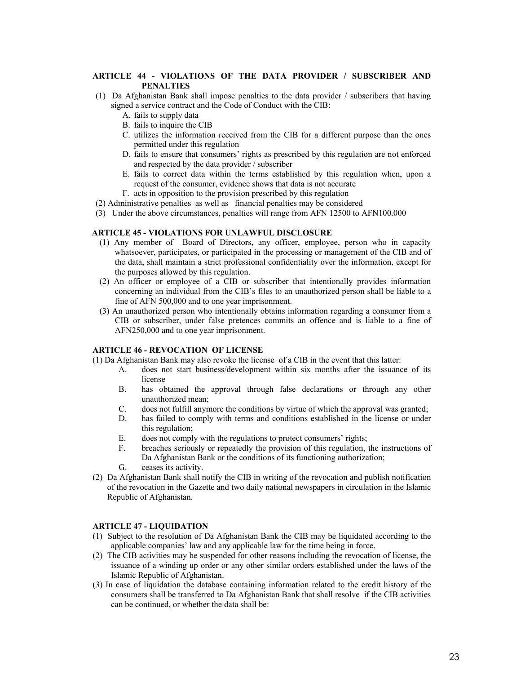#### **ARTICLE 44 - VIOLATIONS OF THE DATA PROVIDER / SUBSCRIBER AND PENALTIES**

- (1) Da Afghanistan Bank shall impose penalties to the data provider / subscribers that having signed a service contract and the Code of Conduct with the CIB:
	- A. fails to supply data
	- B. fails to inquire the CIB
	- C. utilizes the information received from the CIB for a different purpose than the ones permitted under this regulation
	- D. fails to ensure that consumers' rights as prescribed by this regulation are not enforced and respected by the data provider / subscriber
	- E. fails to correct data within the terms established by this regulation when, upon a request of the consumer, evidence shows that data is not accurate
	- F. acts in opposition to the provision prescribed by this regulation
- (2) Administrative penalties as well as financial penalties may be considered
- (3) Under the above circumstances, penalties will range from AFN 12500 to AFN100.000

#### **ARTICLE 45 - VIOLATIONS FOR UNLAWFUL DISCLOSURE**

- (1) Any member of Board of Directors, any officer, employee, person who in capacity whatsoever, participates, or participated in the processing or management of the CIB and of the data, shall maintain a strict professional confidentiality over the information, except for the purposes allowed by this regulation.
- (2) An officer or employee of a CIB or subscriber that intentionally provides information concerning an individual from the CIB's files to an unauthorized person shall be liable to a fine of AFN 500,000 and to one year imprisonment.
- (3) An unauthorized person who intentionally obtains information regarding a consumer from a CIB or subscriber, under false pretences commits an offence and is liable to a fine of AFN250,000 and to one year imprisonment.

#### **ARTICLE 46** *-* **REVOCATION OF LICENSE**

(1) Da Afghanistan Bank may also revoke the license of a CIB in the event that this latter:

- A. does not start business/development within six months after the issuance of its license
- B. has obtained the approval through false declarations or through any other unauthorized mean;
- C. does not fulfill anymore the conditions by virtue of which the approval was granted;
- D. has failed to comply with terms and conditions established in the license or under this regulation;
- E. does not comply with the regulations to protect consumers' rights;
- F. breaches seriously or repeatedly the provision of this regulation, the instructions of Da Afghanistan Bank or the conditions of its functioning authorization;
- G. ceases its activity.
- (2) Da Afghanistan Bank shall notify the CIB in writing of the revocation and publish notification of the revocation in the Gazette and two daily national newspapers in circulation in the Islamic Republic of Afghanistan.

#### **ARTICLE 47 - LIQUIDATION**

- (1) Subject to the resolution of Da Afghanistan Bank the CIB may be liquidated according to the applicable companies' law and any applicable law for the time being in force.
- (2) The CIB activities may be suspended for other reasons including the revocation of license, the issuance of a winding up order or any other similar orders established under the laws of the Islamic Republic of Afghanistan.
- (3) In case of liquidation the database containing information related to the credit history of the consumers shall be transferred to Da Afghanistan Bank that shall resolve if the CIB activities can be continued, or whether the data shall be: